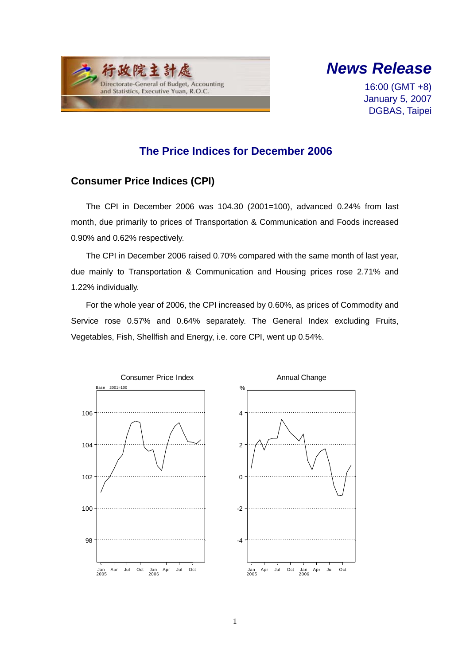



16:00 (GMT +8) January 5, 2007 DGBAS, Taipei

## **The Price Indices for December 2006**

### **Consumer Price Indices (CPI)**

The CPI in December 2006 was 104.30 (2001=100), advanced 0.24% from last month, due primarily to prices of Transportation & Communication and Foods increased 0.90% and 0.62% respectively.

The CPI in December 2006 raised 0.70% compared with the same month of last year, due mainly to Transportation & Communication and Housing prices rose 2.71% and 1.22% individually.

For the whole year of 2006, the CPI increased by 0.60%, as prices of Commodity and Service rose 0.57% and 0.64% separately. The General Index excluding Fruits, Vegetables, Fish, Shellfish and Energy, i.e. core CPI, went up 0.54%.

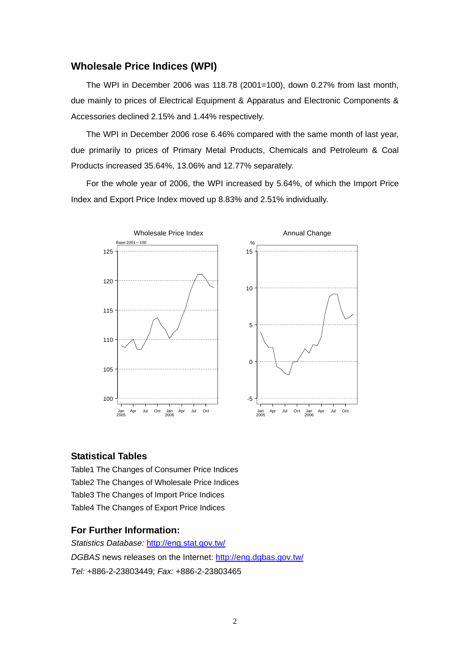### **Wholesale Price Indices (WPI)**

The WPI in December 2006 was 118.78 (2001=100), down 0.27% from last month, due mainly to prices of Electrical Equipment & Apparatus and Electronic Components & Accessories declined 2.15% and 1.44% respectively.

The WPI in December 2006 rose 6.46% compared with the same month of last year, due primarily to prices of Primary Metal Products, Chemicals and Petroleum & Coal Products increased 35.64%, 13.06% and 12.77% separately.

For the whole year of 2006, the WPI increased by 5.64%, of which the Import Price Index and Export Price Index moved up 8.83% and 2.51% individually.



#### **Statistical Tables**

Table1 The Changes of Consumer Price Indices Table2 The Changes of Wholesale Price Indices Table3 The Changes of Import Price Indices Table4 The Changes of Export Price Indices

#### **For Further Information:**

*Statistics Database:* http://eng.stat.gov.tw/ *DGBAS* news releases on the Internet: http://eng.dgbas.gov.tw/ *Tel:* +886-2-23803449; *Fax:* +886-2-23803465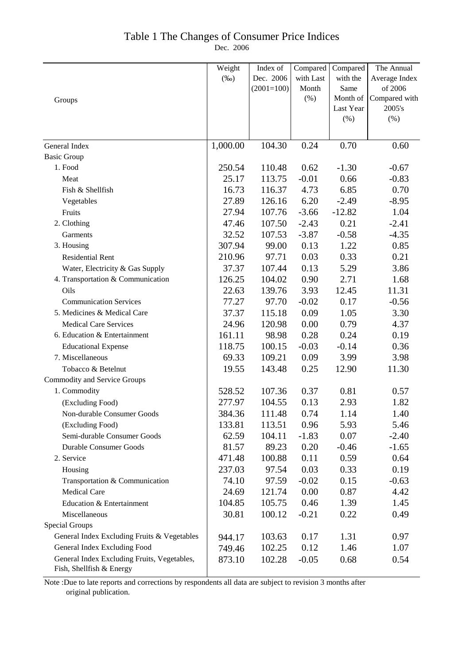## Table 1 The Changes of Consumer Price Indices

Dec. 2006

|                                             | Weight   | Index of     | Compared  | Compared  | The Annual    |
|---------------------------------------------|----------|--------------|-----------|-----------|---------------|
|                                             | $(\%0)$  | Dec. 2006    | with Last | with the  | Average Index |
|                                             |          | $(2001=100)$ | Month     | Same      | of 2006       |
| Groups                                      |          |              | (%)       | Month of  | Compared with |
|                                             |          |              |           | Last Year | 2005's        |
|                                             |          |              |           | (%)       | (% )          |
|                                             |          |              |           |           |               |
| General Index                               | 1,000.00 | 104.30       | 0.24      | 0.70      | 0.60          |
| <b>Basic Group</b>                          |          |              |           |           |               |
| 1. Food                                     | 250.54   | 110.48       | 0.62      | $-1.30$   | $-0.67$       |
| Meat                                        | 25.17    | 113.75       | $-0.01$   | 0.66      | $-0.83$       |
| Fish & Shellfish                            | 16.73    | 116.37       | 4.73      | 6.85      | 0.70          |
| Vegetables                                  | 27.89    | 126.16       | 6.20      | $-2.49$   | $-8.95$       |
| Fruits                                      | 27.94    | 107.76       | $-3.66$   | $-12.82$  | 1.04          |
| 2. Clothing                                 | 47.46    | 107.50       | $-2.43$   | 0.21      | $-2.41$       |
| Garments                                    | 32.52    | 107.53       | $-3.87$   | $-0.58$   | $-4.35$       |
| 3. Housing                                  | 307.94   | 99.00        | 0.13      | 1.22      | 0.85          |
| <b>Residential Rent</b>                     | 210.96   | 97.71        | 0.03      | 0.33      | 0.21          |
| Water, Electricity & Gas Supply             | 37.37    | 107.44       | 0.13      | 5.29      | 3.86          |
| 4. Transportation & Communication           | 126.25   | 104.02       | 0.90      | 2.71      | 1.68          |
| Oils                                        | 22.63    | 139.76       | 3.93      | 12.45     | 11.31         |
| <b>Communication Services</b>               | 77.27    | 97.70        | $-0.02$   | 0.17      | $-0.56$       |
| 5. Medicines & Medical Care                 | 37.37    | 115.18       | 0.09      | 1.05      | 3.30          |
| <b>Medical Care Services</b>                | 24.96    | 120.98       | 0.00      | 0.79      | 4.37          |
| 6. Education & Entertainment                | 161.11   | 98.98        | 0.28      | 0.24      | 0.19          |
| <b>Educational Expense</b>                  | 118.75   | 100.15       | $-0.03$   | $-0.14$   | 0.36          |
| 7. Miscellaneous                            | 69.33    | 109.21       | 0.09      | 3.99      | 3.98          |
| Tobacco & Betelnut                          | 19.55    | 143.48       | 0.25      | 12.90     | 11.30         |
| <b>Commodity and Service Groups</b>         |          |              |           |           |               |
| 1. Commodity                                | 528.52   | 107.36       | 0.37      | 0.81      | 0.57          |
| (Excluding Food)                            | 277.97   | 104.55       | 0.13      | 2.93      | 1.82          |
| Non-durable Consumer Goods                  | 384.36   | 111.48       | 0.74      | 1.14      | 1.40          |
| (Excluding Food)                            | 133.81   | 113.51       | 0.96      | 5.93      | 5.46          |
| Semi-durable Consumer Goods                 | 62.59    | 104.11       | $-1.83$   | 0.07      | $-2.40$       |
| <b>Durable Consumer Goods</b>               | 81.57    | 89.23        | 0.20      | $-0.46$   | $-1.65$       |
| 2. Service                                  | 471.48   | 100.88       | 0.11      | 0.59      | 0.64          |
| Housing                                     | 237.03   | 97.54        | 0.03      | 0.33      | 0.19          |
| Transportation & Communication              | 74.10    | 97.59        | $-0.02$   | 0.15      | $-0.63$       |
| <b>Medical Care</b>                         | 24.69    | 121.74       | 0.00      | 0.87      | 4.42          |
| Education & Entertainment                   | 104.85   | 105.75       | 0.46      | 1.39      | 1.45          |
| Miscellaneous                               | 30.81    | 100.12       | $-0.21$   | 0.22      | 0.49          |
| <b>Special Groups</b>                       |          |              |           |           |               |
| General Index Excluding Fruits & Vegetables | 944.17   | 103.63       | 0.17      | 1.31      | 0.97          |
| General Index Excluding Food                | 749.46   | 102.25       | 0.12      | 1.46      | 1.07          |
| General Index Excluding Fruits, Vegetables, | 873.10   | 102.28       | $-0.05$   | 0.68      | 0.54          |
| Fish, Shellfish & Energy                    |          |              |           |           |               |

Note :Due to late reports and corrections by respondents all data are subject to revision 3 months after original publication.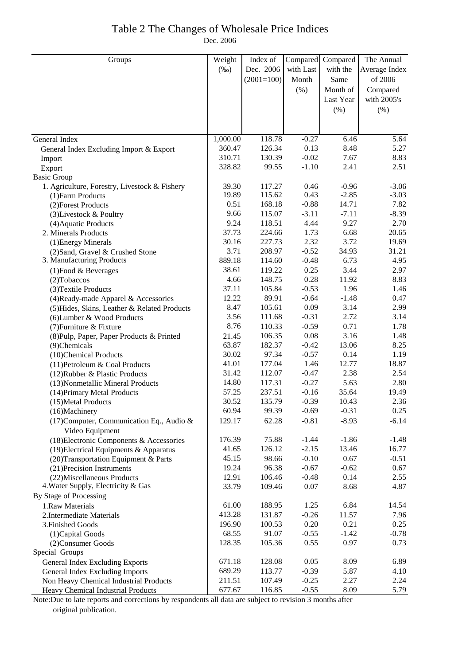### Table 2 The Changes of Wholesale Price Indices Dec. 2006

| Groups                                                        | Weight        | Index of         | Compared        | Compared     | The Annual     |
|---------------------------------------------------------------|---------------|------------------|-----------------|--------------|----------------|
|                                                               | $(\%0)$       | Dec. 2006        | with Last       | with the     | Average Index  |
|                                                               |               | $(2001=100)$     | Month           | Same         | of 2006        |
|                                                               |               |                  | (% )            | Month of     | Compared       |
|                                                               |               |                  |                 | Last Year    | with 2005's    |
|                                                               |               |                  |                 |              |                |
|                                                               |               |                  |                 | $(\% )$      | $(\% )$        |
|                                                               |               |                  |                 |              |                |
| General Index                                                 | 1,000.00      | 118.78           | $-0.27$         | 6.46         | 5.64           |
| General Index Excluding Import & Export                       | 360.47        | 126.34           | 0.13            | 8.48         | 5.27           |
| Import                                                        | 310.71        | 130.39           | $-0.02$         | 7.67         | 8.83           |
| Export                                                        | 328.82        | 99.55            | $-1.10$         | 2.41         | 2.51           |
| <b>Basic Group</b>                                            |               |                  |                 |              |                |
| 1. Agriculture, Forestry, Livestock & Fishery                 | 39.30         | 117.27           | 0.46            | $-0.96$      | $-3.06$        |
| (1) Farm Products                                             | 19.89         | 115.62           | 0.43            | $-2.85$      | $-3.03$        |
| (2) Forest Products                                           | 0.51          | 168.18           | $-0.88$         | 14.71        | 7.82           |
| (3) Livestock & Poultry                                       | 9.66          | 115.07           | $-3.11$         | $-7.11$      | $-8.39$        |
| (4) Aquatic Products                                          | 9.24          | 118.51           | 4.44            | 9.27         | 2.70           |
| 2. Minerals Products                                          | 37.73         | 224.66           | 1.73            | 6.68<br>3.72 | 20.65<br>19.69 |
| (1) Energy Minerals                                           | 30.16<br>3.71 | 227.73<br>208.97 | 2.32<br>$-0.52$ | 34.93        | 31.21          |
| (2) Sand, Gravel & Crushed Stone<br>3. Manufacturing Products | 889.18        | 114.60           | $-0.48$         | 6.73         | 4.95           |
|                                                               | 38.61         | 119.22           | 0.25            | 3.44         | 2.97           |
| $(1)$ Food & Beverages                                        | 4.66          | 148.75           | 0.28            | 11.92        | 8.83           |
| $(2)$ Tobaccos<br>(3) Textile Products                        | 37.11         | 105.84           | $-0.53$         | 1.96         | 1.46           |
| (4) Ready-made Apparel & Accessories                          | 12.22         | 89.91            | $-0.64$         | $-1.48$      | 0.47           |
| (5) Hides, Skins, Leather & Related Products                  | 8.47          | 105.61           | 0.09            | 3.14         | 2.99           |
| (6) Lumber & Wood Products                                    | 3.56          | 111.68           | $-0.31$         | 2.72         | 3.14           |
| (7) Furniture & Fixture                                       | 8.76          | 110.33           | $-0.59$         | 0.71         | 1.78           |
| (8) Pulp, Paper, Paper Products & Printed                     | 21.45         | 106.35           | 0.08            | 3.16         | 1.48           |
| (9)Chemicals                                                  | 63.87         | 182.37           | $-0.42$         | 13.06        | 8.25           |
| (10)Chemical Products                                         | 30.02         | 97.34            | $-0.57$         | 0.14         | 1.19           |
| (11) Petroleum & Coal Products                                | 41.01         | 177.04           | 1.46            | 12.77        | 18.87          |
| (12) Rubber & Plastic Products                                | 31.42         | 112.07           | $-0.47$         | 2.38         | 2.54           |
| (13) Nonmetallic Mineral Products                             | 14.80         | 117.31           | $-0.27$         | 5.63         | 2.80           |
| (14) Primary Metal Products                                   | 57.25         | 237.51           | $-0.16$         | 35.64        | 19.49          |
| (15) Metal Products                                           | 30.52         | 135.79           | $-0.39$         | 10.43        | 2.36           |
| (16)Machinery                                                 | 60.94         | 99.39            | $-0.69$         | $-0.31$      | 0.25           |
| (17) Computer, Communication Eq., Audio &<br>Video Equipment  | 129.17        | 62.28            | $-0.81$         | $-8.93$      | $-6.14$        |
| (18) Electronic Components & Accessories                      | 176.39        | 75.88            | $-1.44$         | $-1.86$      | $-1.48$        |
| $(19)$ Electrical Equipments & Apparatus                      | 41.65         | 126.12           | $-2.15$         | 13.46        | 16.77          |
| (20) Transportation Equipment & Parts                         | 45.15         | 98.66            | $-0.10$         | 0.67         | $-0.51$        |
| (21) Precision Instruments                                    | 19.24         | 96.38            | $-0.67$         | $-0.62$      | 0.67           |
| (22) Miscellaneous Products                                   | 12.91         | 106.46           | $-0.48$         | 0.14         | 2.55           |
| 4. Water Supply, Electricity & Gas                            | 33.79         | 109.46           | 0.07            | 8.68         | 4.87           |
| By Stage of Processing                                        |               |                  |                 |              |                |
| 1.Raw Materials                                               | 61.00         | 188.95           | 1.25            | 6.84         | 14.54          |
| 2. Intermediate Materials                                     | 413.28        | 131.87           | $-0.26$         | 11.57        | 7.96           |
| 3. Finished Goods                                             | 196.90        | 100.53           | 0.20            | 0.21         | 0.25           |
| (1) Capital Goods                                             | 68.55         | 91.07            | $-0.55$         | $-1.42$      | $-0.78$        |
| (2) Consumer Goods                                            | 128.35        | 105.36           | 0.55            | 0.97         | 0.73           |
| Special Groups                                                |               |                  |                 |              |                |
| General Index Excluding Exports                               | 671.18        | 128.08           | 0.05            | 8.09         | 6.89           |
| General Index Excluding Imports                               | 689.29        | 113.77           | $-0.39$         | 5.87         | 4.10           |
| Non Heavy Chemical Industrial Products                        | 211.51        | 107.49           | $-0.25$         | 2.27         | 2.24           |
| Heavy Chemical Industrial Products                            | 677.67        | 116.85           | $-0.55$         | 8.09         | 5.79           |

Note:Due to late reports and corrections by respondents all data are subject to revision 3 months after original publication.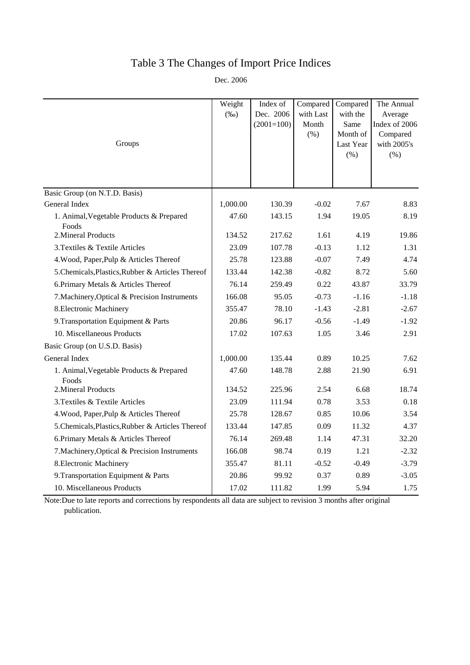# Table 3 The Changes of Import Price Indices

Dec. 2006

|                                                   | Weight   | Index of     | Compared  | Compared             | The Annual          |
|---------------------------------------------------|----------|--------------|-----------|----------------------|---------------------|
|                                                   | $(\%0)$  | Dec. 2006    | with Last | with the             | Average             |
|                                                   |          | $(2001=100)$ | Month     | Same                 | Index of 2006       |
| Groups                                            |          |              | (% )      | Month of             | Compared            |
|                                                   |          |              |           | Last Year<br>$(\% )$ | with 2005's<br>(% ) |
|                                                   |          |              |           |                      |                     |
|                                                   |          |              |           |                      |                     |
| Basic Group (on N.T.D. Basis)                     |          |              |           |                      |                     |
| General Index                                     | 1,000.00 | 130.39       | $-0.02$   | 7.67                 | 8.83                |
| 1. Animal, Vegetable Products & Prepared<br>Foods | 47.60    | 143.15       | 1.94      | 19.05                | 8.19                |
| 2. Mineral Products                               | 134.52   | 217.62       | 1.61      | 4.19                 | 19.86               |
| 3. Textiles & Textile Articles                    | 23.09    | 107.78       | $-0.13$   | 1.12                 | 1.31                |
| 4. Wood, Paper, Pulp & Articles Thereof           | 25.78    | 123.88       | $-0.07$   | 7.49                 | 4.74                |
| 5. Chemicals, Plastics, Rubber & Articles Thereof | 133.44   | 142.38       | $-0.82$   | 8.72                 | 5.60                |
| 6. Primary Metals & Articles Thereof              | 76.14    | 259.49       | 0.22      | 43.87                | 33.79               |
| 7. Machinery, Optical & Precision Instruments     | 166.08   | 95.05        | $-0.73$   | $-1.16$              | $-1.18$             |
| 8. Electronic Machinery                           | 355.47   | 78.10        | $-1.43$   | $-2.81$              | $-2.67$             |
| 9. Transportation Equipment & Parts               | 20.86    | 96.17        | $-0.56$   | $-1.49$              | $-1.92$             |
| 10. Miscellaneous Products                        | 17.02    | 107.63       | 1.05      | 3.46                 | 2.91                |
| Basic Group (on U.S.D. Basis)                     |          |              |           |                      |                     |
| General Index                                     | 1,000.00 | 135.44       | 0.89      | 10.25                | 7.62                |
| 1. Animal, Vegetable Products & Prepared<br>Foods | 47.60    | 148.78       | 2.88      | 21.90                | 6.91                |
| 2. Mineral Products                               | 134.52   | 225.96       | 2.54      | 6.68                 | 18.74               |
| 3. Textiles & Textile Articles                    | 23.09    | 111.94       | 0.78      | 3.53                 | 0.18                |
| 4. Wood, Paper, Pulp & Articles Thereof           | 25.78    | 128.67       | 0.85      | 10.06                | 3.54                |
| 5. Chemicals, Plastics, Rubber & Articles Thereof | 133.44   | 147.85       | 0.09      | 11.32                | 4.37                |
| 6. Primary Metals & Articles Thereof              | 76.14    | 269.48       | 1.14      | 47.31                | 32.20               |
| 7. Machinery, Optical & Precision Instruments     | 166.08   | 98.74        | 0.19      | 1.21                 | $-2.32$             |
| 8. Electronic Machinery                           | 355.47   | 81.11        | $-0.52$   | $-0.49$              | $-3.79$             |
| 9. Transportation Equipment & Parts               | 20.86    | 99.92        | 0.37      | 0.89                 | $-3.05$             |
| 10. Miscellaneous Products                        | 17.02    | 111.82       | 1.99      | 5.94                 | 1.75                |

Note:Due to late reports and corrections by respondents all data are subject to revision 3 months after original publication.